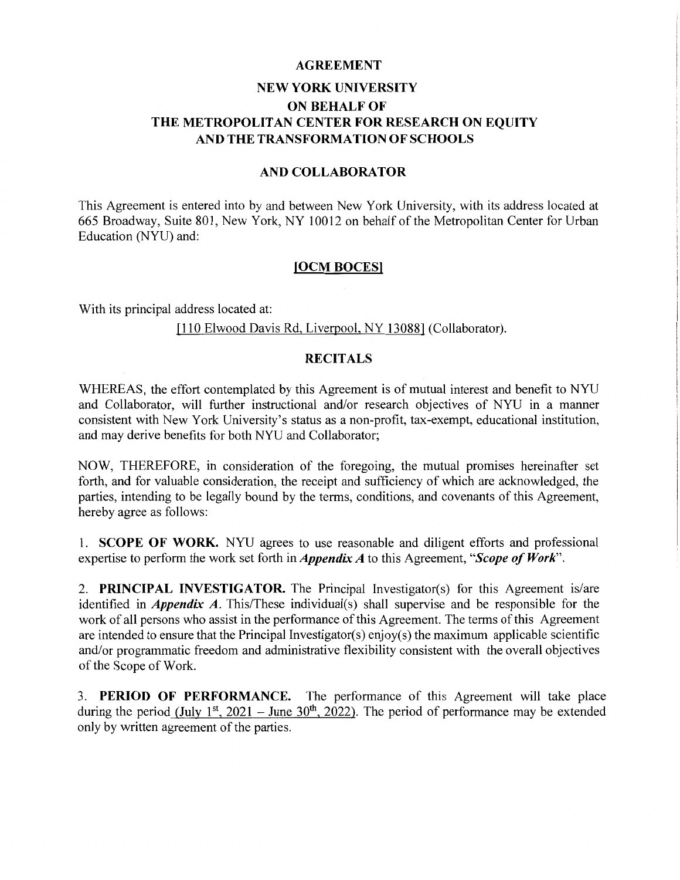### **AGREEMENT**

# **NEW YORK UNIVERSITY ON BEHALF OF THE METROPOLITAN CENTER FOR RESEARCH ON EQUITY AND THE TRANSFORMATION OF SCHOOLS**

#### **AND COLLABORATOR**

This Agreement is entered into by and between New York University, with its address located at 665 Broadway, Suite 801, New York, NY 10012 on behalf of the Metropolitan Center for Urban Education (NYU) and:

### **[OCM BOCES)**

With its principal address located at:

#### [110 Elwood Davis Rd, Liverpool, NY 13088] (Collaborator).

### **RECITALS**

WHEREAS, the effort contemplated by this Agreement is of mutual interest and benefit to NYU and Collaborator, will further instructional and/or research objectives of NYU in a manner consistent with New York University's status as a non-profit, tax-exempt, educational institution, and may derive benefits for both NYU and Collaborator;

NOW, THEREFORE, in consideration of the foregoing, the mutual promises hereinafter set forth, and for valuable consideration, the receipt and sufficiency of which are acknowledged, the parties, intending to be legally bound by the terms, conditions, and covenants of this Agreement, hereby agree as follows:

1. **SCOPE OF WORK.** NYU agrees to use reasonable and diligent efforts and professional expertise to perform the work set forth in *Appendix A* to this Agreement, *"Scope of Work".* 

2. **PRINCIPAL INVESTIGATOR.** The Principal Investigator(s) for this Agreement is/are identified in *Appendix A*. This/These individual(s) shall supervise and be responsible for the work of all persons who assist in the performance of this Agreement. The terms of this Agreement are intended to ensure that the Principal Investigator(s) enjoy(s) the maximum applicable scientific and/or programmatic freedom and administrative flexibility consistent with the overall objectives of the Scope of Work.

3. **PERIOD OF PERFORMANCE.** The performance of this Agreement will take place during the period (July 1<sup>st</sup>, 2021 - June 30<sup>th</sup>, 2022). The period of performance may be extended only by written agreement of the parties.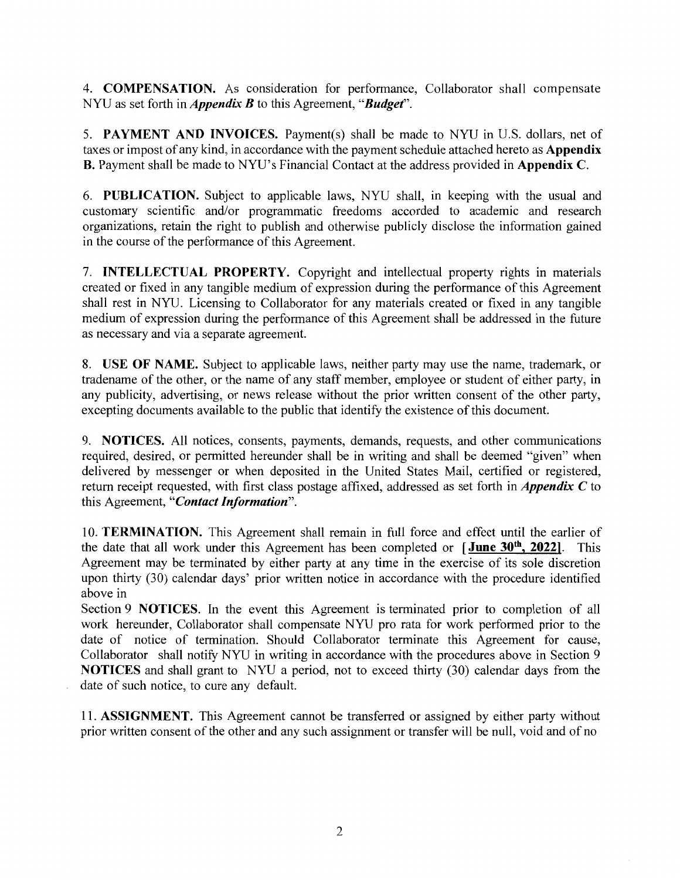4. **COMPENSATION.** As consideration for performance, Collaborator shall compensate NYU as set forth in *Appendix B* to this Agreement, *"Budget".* 

5. **PAYMENT AND INVOICES.** Payment(s) shall be made to NYU in U.S. dollars, net of taxes or impost of any kind, in accordance with the payment schedule attached hereto as **Appendix B.** Payment shall be made to NYU's Financial Contact at the address provided in **Appendix C.** 

6. **PUBLICATION.** Subject to applicable laws, NYU shall, in keeping with the usual and customary scientific and/or programmatic freedoms accorded to academic and research organizations, retain the right to publish and otherwise publicly disclose the information gained in the course of the performance of this Agreement.

7. **INTELLECTUAL PROPERTY.** Copyright and intellectual property rights in materials created or fixed in any tangible medium of expression during the performance of this Agreement shall rest in NYU. Licensing to Collaborator for any materials created or fixed in any tangible medium of expression during the performance of this Agreement shall be addressed in the future as necessary and via a separate agreement.

8. **USE OF NAME.** Subject to applicable laws, neither party may use the name, trademark, or tradename of the other, or the name of any staff member, employee or student of either party, in any publicity, advertising, or news release without the prior written consent of the other party, excepting documents available to the public that identify the existence of this document.

9. **NOTICES.** All notices, consents, payments, demands, requests, and other communications required, desired, or permitted hereunder shall be in writing and shall be deemed "given" when delivered by messenger or when deposited in the United States Mail, certified or registered, return receipt requested, with first class postage affixed, addressed as set forth in *Appendix C* to this Agreement, *"Contact Information".* 

10. **TERMINATION.** This Agreement shall remain in full force and effect until the earlier of the date that all work under this Agreement has been completed or [ **June 30th, 2022).** This Agreement may be terminated by either party at any time in the exercise of its sole discretion upon thirty (30) calendar days' prior written notice in accordance with the procedure identified above in

Section 9 **NOTICES.** In the event this Agreement is terminated prior to completion of all work hereunder, Collaborator shall compensate NYU pro rata for work performed prior to the date of notice of termination. Should Collaborator terminate this Agreement for cause, Collaborator shall notify NYU in writing in accordance with the procedures above in Section 9 **NOTICES** and shall grant to NYU a period, not to exceed thirty (30) calendar days from the date of such notice, to cure any default.

11. **ASSIGNMENT.** This Agreement cannot be transferred or assigned by either party without prior written consent of the other and any such assignment or transfer will be null, void and of no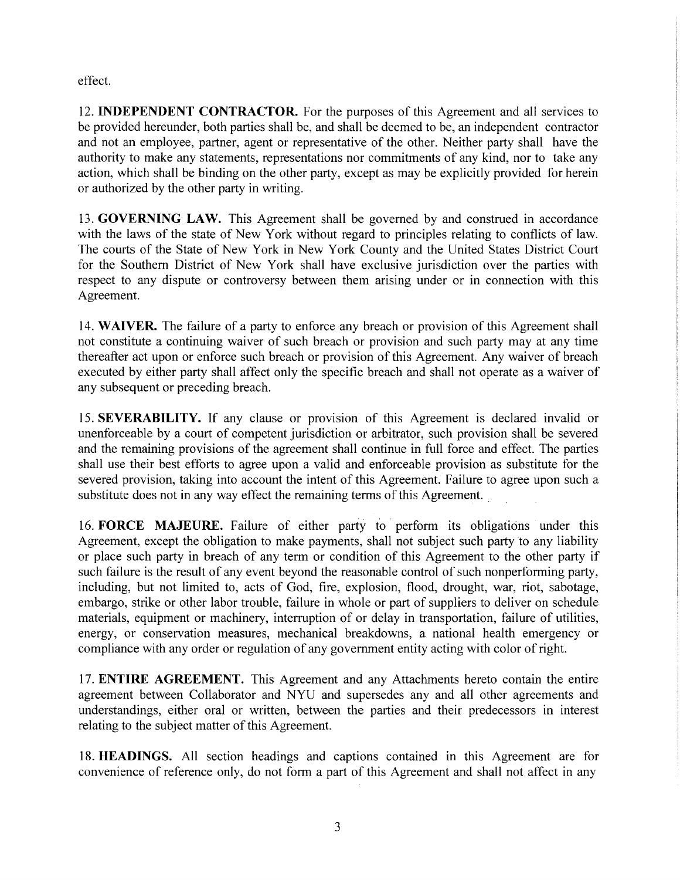effect.

12. **INDEPENDENT CONTRACTOR.** For the purposes of this Agreement and all services to be provided hereunder, both parties shall be, and shall be deemed to be, an independent contractor and not an employee, partner, agent or representative of the other. Neither party shall have the authority to make any statements, representations nor commitments of any kind, nor to take any action, which shall be binding on the other party, except as may be explicitly provided for herein or authorized by the other party in writing.

13. **GOVERNING LAW.** This Agreement shall be governed by and construed in accordance with the laws of the state of New York without regard to principles relating to conflicts of law. The courts of the State of New York in New York County and the United States District Court for the Southern District of New York shall have exclusive jurisdiction over the parties with respect to any dispute or controversy between them arising under or in connection with this Agreement.

14. **WAIVER.** The failure of a party to enforce any breach or provision of this Agreement shall not constitute a continuing waiver of such breach or provision and such party may at any time thereafter act upon or enforce such breach or provision of this Agreement. Any waiver of breach executed by either party shall affect only the specific breach and shall not operate as a waiver of any subsequent or preceding breach.

15. **SEVERABILITY.** If any clause or provision of this Agreement is declared invalid or unenforceable by a court of competent jurisdiction or arbitrator, such provision shall be severed and the remaining provisions of the agreement shall continue in full force and effect. The parties shall use their best efforts to agree upon a valid and enforceable provision as substitute for the severed provision, taking into account the intent of this Agreement. Failure to agree upon such a substitute does not in any way effect the remaining terms of this Agreement.

16. **FORCE MAJEURE.** Failure of either party to. perform its obligations under this Agreement, except the obligation to make payments, shall not subject such party to any liability or place such party in breach of any term or condition of this Agreement to the other party if such failure is the result of any event beyond the reasonable control of such nonperforming party, including, but not limited to, acts of God, fire, explosion, flood, drought, war, riot, sabotage, embargo, strike or other labor trouble, failure in whole or part of suppliers to deliver on schedule materials, equipment or machinery, interruption of or delay in transportation, failure of utilities, energy, or conservation measures, mechanical breakdowns, a national health emergency or compliance with any order or regulation of any government entity acting with color of right.

17. **ENTIRE AGREEMENT.** This Agreement and any Attachments hereto contain the entire agreement between Collaborator and NYU and supersedes any and all other agreements and understandings, either oral or written, between the parties and their predecessors in interest relating to the subject matter of this Agreement.

18. **HEADINGS.** All section headings and captions contained in this Agreement are for convenience of reference only, do not form a part of this Agreement and shall not affect in any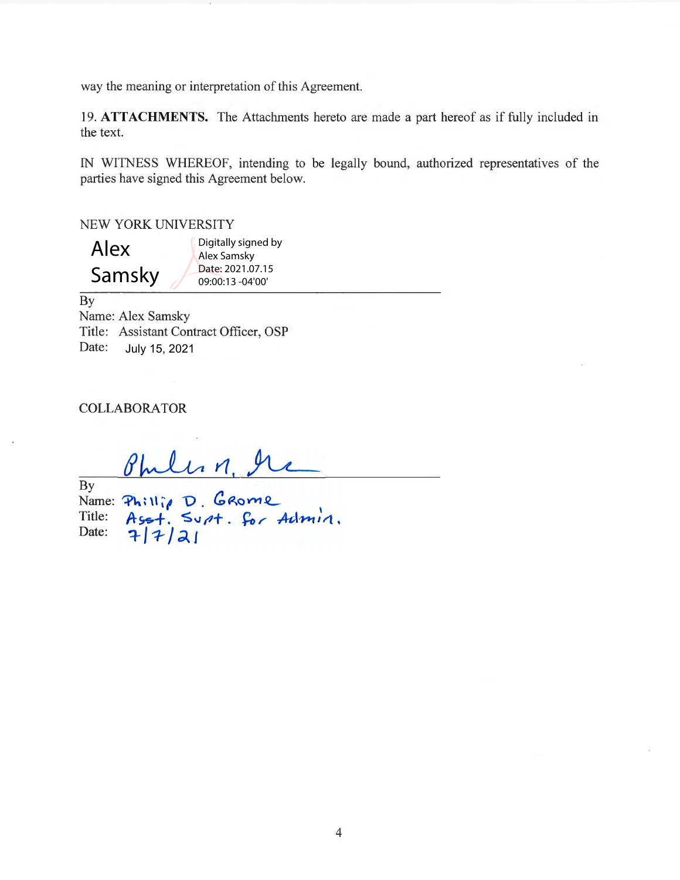way the meaning or interpretation of this Agreement.

19. **ATTACHMENTS.** The Attachments hereto are made a part hereof as if fully included in the text.

IN WITNESS WHEREOF, intending to be legally bound, authorized representatives of the parties have signed this Agreement below.

#### NEW YORK UNIVERSITY

Alex Samsky Digitally signed by Alex Samsky Date: 2021.07.15 09:00:13 -04'00'

 $\overline{By}$ Name: Alex Samsky Title: Assistant Contract Officer, OSP Date: July 15, 2021

COLLABORATOR

Philis n. I

By Name: Title: Date:  $Phi$ **1).** GROME Aset. Supt. for Admin. *~/1--/d>.l*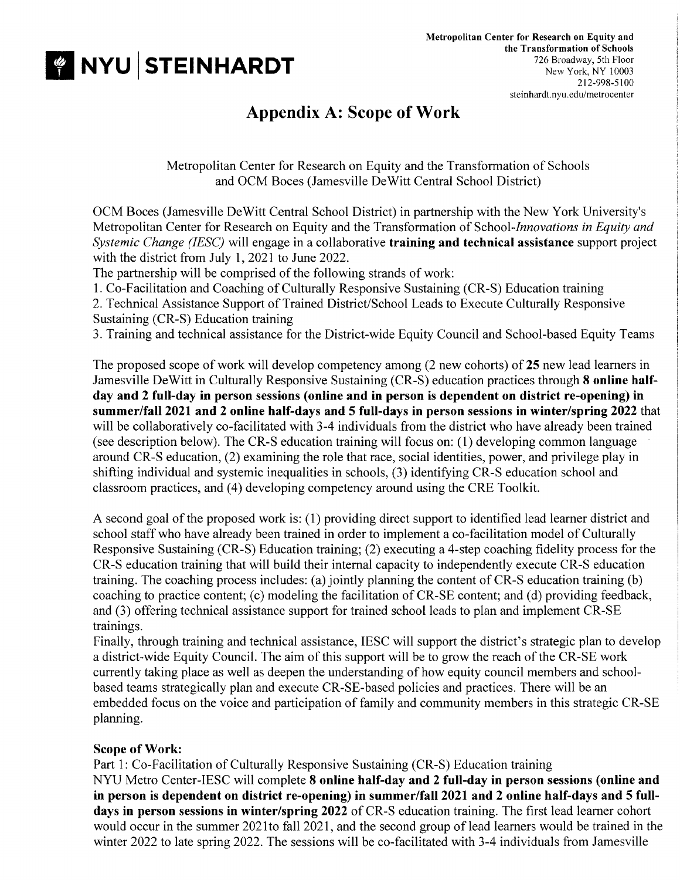

# **Appendix A: Scope of Work**

Metropolitan Center for Research on Equity and the Transformation of Schools and OCM Boces (Jamesville DeWitt Central School District)

OCM Boces (Jamesville De Witt Central School District) in partnership with the New York University's Metropolitan Center for Research on Equity and the Transformation of *School-Innovations in Equity and Systemic Change (IESC)* will engage in a collaborative **training and technical assistance** support project with the district from July 1, 2021 to June 2022.

The partnership will be comprised of the following strands of work:

1. Co-Facilitation and Coaching of Culturally Responsive Sustaining (CR-S) Education training

2. Technical Assistance Support of Trained District/School Leads to Execute Culturally Responsive Sustaining (CR-S) Education training

3. Training and technical assistance for the District-wide Equity Council and School-based Equity Teams

The proposed scope of work will develop competency among (2 new cohorts) of **25** new lead learners in Jamesville DeWitt in Culturally Responsive Sustaining (CR-S) education practices through **8 online halfday and 2 full-day in person sessions** ( **online and in person is dependent on district re-opening) in summer/fall 2021 and 2 online half-days and 5 full-days in person sessions in winter/spring 2022** that will be collaboratively co-facilitated with 3-4 individuals from the district who have already been trained (see description below). The CR-S education training will focus on: (1) developing common language around CR-S education, (2) examining the role that race, social identities, power, and privilege play in shifting individual and systemic inequalities in schools, (3) identifying CR-S education school and classroom practices, and (4) developing competency around using the CRE Toolkit.

A second goal of the proposed work is: (1) providing direct support to identified lead learner district and school staff who have already been trained in order to implement a co-facilitation model of Culturally Responsive Sustaining (CR-S) Education training; (2) executing a 4-step coaching fidelity process for the CR-S education training that will build their internal capacity to independently execute CR-S education training. The coaching process includes: (a) jointly planning the content of CR-S education training (b) coaching to practice content; (c) modeling the facilitation of CR-SE content; and (d) providing feedback, and (3) offering technical assistance support for trained school leads to plan and implement CR-SE trainings.

Finally, through training and technical assistance, IESC will support the district's strategic plan to develop a district-wide Equity Council. The aim of this support will be to grow the reach of the CR-SE work currently taking place as well as deepen the understanding of how equity council members and schoolbased teams strategically plan and execute CR-SE-based policies and practices. There will be an embedded focus on the voice and participation of family and community members in this strategic CR-SE planning.

## **Scope of Work:**

Part 1: Co-Facilitation of Culturally Responsive Sustaining (CR-S) Education training NYU Metro Center-IESC will complete **8 online half-day and 2 full-day in person sessions (online and in person is dependent on district re-opening) in summer/fall 2021 and 2 online half-days and 5 fulldays in person sessions in winter/spring 2022** of CR-S education training. The first lead learner cohort would occur in the summer 2021 to fall 2021, and the second group of lead learners would be trained in the winter 2022 to late spring 2022. The sessions will be co-facilitated with 3-4 individuals from Jamesville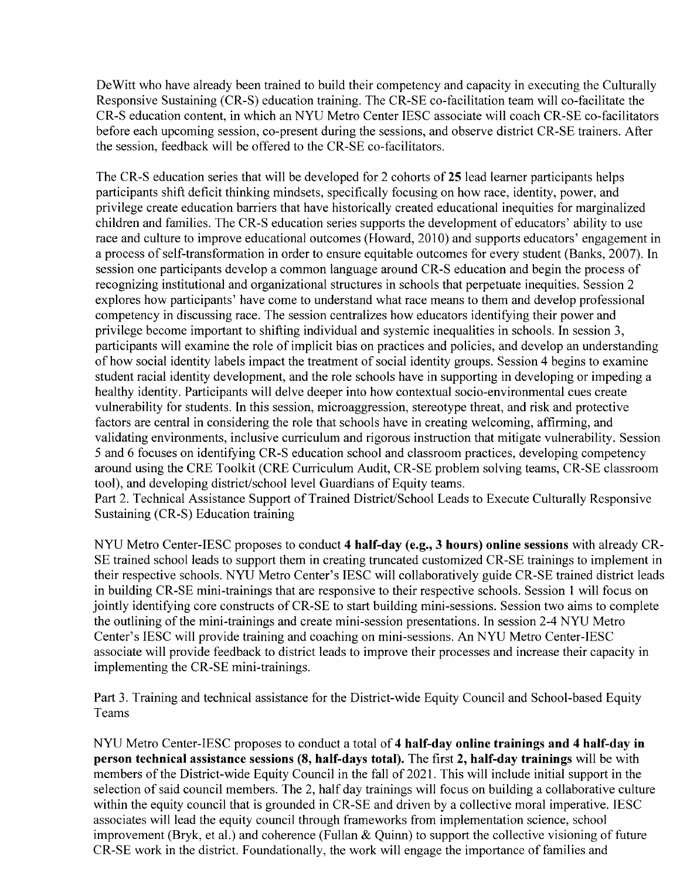DeWitt who have already been trained to build their competency and capacity in executing the Culturally Responsive Sustaining (CR-S) education training. The CR-SE co-facilitation team will co-facilitate the CR-S education content, in which an NYU Metro Center IESC associate will coach CR-SE co-facilitators before each upcoming session, co-present during the sessions, and observe district CR-SE trainers. After the session, feedback will be offered to the CR-SE co-facilitators.

The CR-S education series that will be developed for 2 cohorts of **25** lead learner participants helps participants shift deficit thinking mindsets, specifically focusing on how race, identity, power, and privilege create education barriers that have historically created educational inequities for marginalized children and families. The CR-S education series supports the development of educators' ability to use race and culture to improve educational outcomes (Howard, 2010) and supports educators' engagement in a process of self-transformation in order to ensure equitable outcomes for every student (Banks, 2007). In session one participants develop a common language around CR-S education and begin the process of recognizing institutional and organizational structures in schools that perpetuate inequities. Session 2 explores how participants' have come to understand what race means to them and develop professional competency in discussing race. The session centralizes how educators identifying their power and privilege become important to shifting individual and systemic inequalities in schools. In session 3, participants will examine the role of implicit bias on practices and policies, and develop an understanding of how social identity labels impact the treatment of social identity groups. Session 4 begins to examine student racial identity development, and the role schools have in supporting in developing or impeding a healthy identity. Participants will delve deeper into how contextual socio-environmental cues create vulnerability for students. In this session, microaggression, stereotype threat, and risk and protective factors are central in considering the role that schools have in creating welcoming, affirming, and validating environments, inclusive curriculum and rigorous instruction that mitigate vulnerability. Session 5 and 6 focuses on identifying CR-S education school and classroom practices, developing competency around using the CRE Toolkit (CRE Curriculum Audit, CR-SE problem solving teams, CR-SE classroom tool), and developing district/school level Guardians of Equity teams.

Part 2. Technical Assistance Support of Trained District/School Leads to Execute Culturally Responsive Sustaining (CR-S) Education training

NYU Metro Center-IESC proposes to conduct **4 half-day (e.g., 3 hours) online sessions** with already CR-SE trained school leads to support them in creating truncated customized CR-SE trainings to implement in their respective schools. NYU Metro Center's IESC will collaboratively guide CR-SE trained district leads in building CR-SE mini-trainings that are responsive to their respective schools. Session **1** will focus on jointly identifying core constructs of CR-SE to start building mini-sessions. Session two aims to complete the outlining of the mini-trainings and create mini-session presentations. In session 2-4 NYU Metro Center's IESC will provide training and coaching on mini-sessions. An NYU Metro Center-IESC associate will provide feedback to district leads to improve their processes and increase their capacity in implementing the CR-SE mini-trainings.

Part 3. Training and technical assistance for the District-wide Equity Council and School-based Equity Teams

NYU Metro Center-IESC proposes to conduct a total of **4 half-day online trainings and 4 half-day in person technical assistance sessions (8, half-days total).** The first **2, half-day trainings** will be with members of the District-wide Equity Council in the fall of 2021. This will include initial support in the selection of said council members. The 2, half day trainings will focus on building a collaborative culture within the equity council that is grounded in CR-SE and driven by a collective moral imperative. IESC associates will lead the equity council through frameworks from implementation science, school improvement (Bryk, et al.) and coherence (Fullan & Quinn) to support the collective visioning of future CR-SE work in the district. Foundationally, the work will engage the importance of families and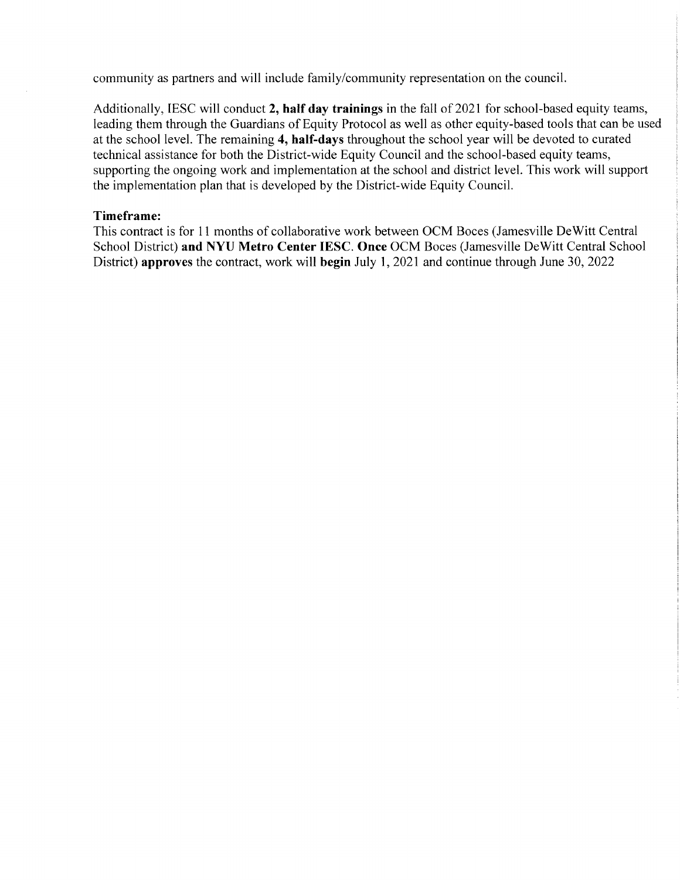community as partners and will include family/community representation on the council.

Additionally, IESC will conduct 2, half day trainings in the fall of 2021 for school-based equity teams, leading them through the Guardians of Equity Protocol as well as other equity-based tools that can be used at the school level. The remaining **4, half-days** throughout the school year will be devoted to curated technical assistance for both the District-wide Equity Council and the school-based equity teams, supporting the ongoing work and implementation at the school and district level. This work will support the implementation plan that is developed by the District-wide Equity Council.

## **Timeframe:**

This contract is for 11 months of collaborative work between OCM Boces (Jamesville De Witt Central School District) **and NYU Metro Center IESC. Once** OCM Boces (Jamesville DeWitt Central School District) **approves** the contract, work will **begin** July 1, 2021 and continue through June 30, 2022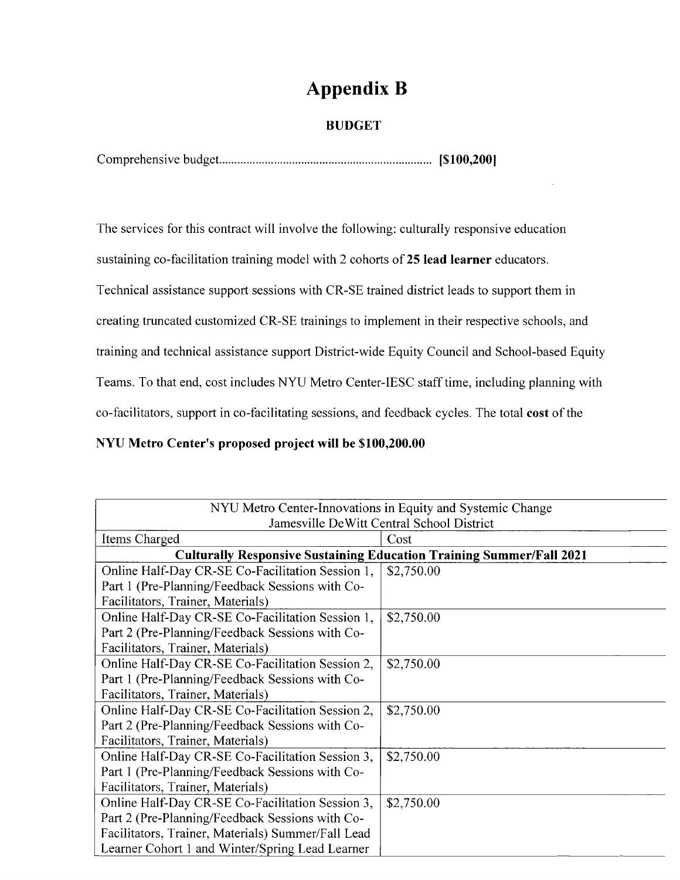# **Appendix B**

# **BUDGET**

Comprehensive budget. ..................................................................... **[\$100,200]** 

The services for this contract will involve the following: culturally responsive education

sustaining co-facilitation training model with 2 cohorts of **25 lead learner** educators.

Technical assistance support sessions with CR-SE trained district leads to support them in

creating truncated customized CR-SE trainings to implement in their respective schools, and

training and technical assistance support District-wide Equity Council and School-based Equity

Teams. To that end, cost includes NYU Metro Center-IESC staff time, including planning with

co-facilitators, support in co-facilitating sessions, and feedback cycles. The total **cost** of the

**NYU Metro Center's proposed project will be \$100,200.00** 

| NYU Metro Center-Innovations in Equity and Systemic Change                  |            |  |
|-----------------------------------------------------------------------------|------------|--|
| Jamesville De Witt Central School District                                  |            |  |
| Items Charged                                                               | Cost       |  |
| <b>Culturally Responsive Sustaining Education Training Summer/Fall 2021</b> |            |  |
| Online Half-Day CR-SE Co-Facilitation Session 1,                            | \$2,750.00 |  |
| Part 1 (Pre-Planning/Feedback Sessions with Co-                             |            |  |
| Facilitators, Trainer, Materials)                                           |            |  |
| Online Half-Day CR-SE Co-Facilitation Session 1,                            | \$2,750.00 |  |
| Part 2 (Pre-Planning/Feedback Sessions with Co-                             |            |  |
| Facilitators, Trainer, Materials)                                           |            |  |
| Online Half-Day CR-SE Co-Facilitation Session 2,                            | \$2,750.00 |  |
| Part 1 (Pre-Planning/Feedback Sessions with Co-                             |            |  |
| Facilitators, Trainer, Materials)                                           |            |  |
| Online Half-Day CR-SE Co-Facilitation Session 2,                            | \$2,750.00 |  |
| Part 2 (Pre-Planning/Feedback Sessions with Co-                             |            |  |
| Facilitators, Trainer, Materials)                                           |            |  |
| Online Half-Day CR-SE Co-Facilitation Session 3,                            | \$2,750.00 |  |
| Part 1 (Pre-Planning/Feedback Sessions with Co-                             |            |  |
| Facilitators, Trainer, Materials)                                           |            |  |
| Online Half-Day CR-SE Co-Facilitation Session 3,                            | \$2,750.00 |  |
| Part 2 (Pre-Planning/Feedback Sessions with Co-                             |            |  |
| Facilitators, Trainer, Materials) Summer/Fall Lead                          |            |  |
| Learner Cohort 1 and Winter/Spring Lead Learner                             |            |  |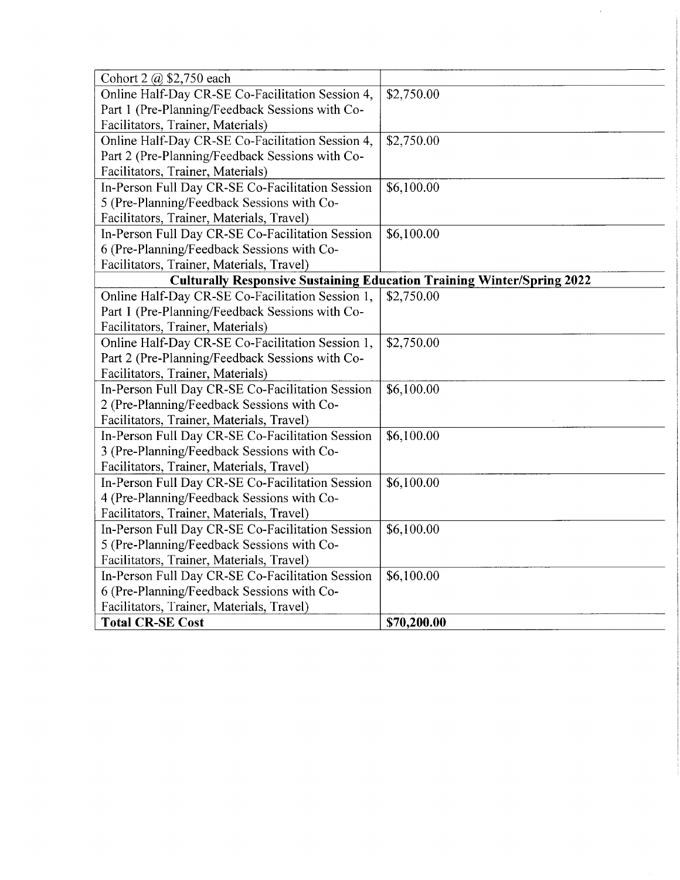| Cohort 2 @ \$2,750 each                                                       |             |  |  |
|-------------------------------------------------------------------------------|-------------|--|--|
| Online Half-Day CR-SE Co-Facilitation Session 4,                              | \$2,750.00  |  |  |
| Part 1 (Pre-Planning/Feedback Sessions with Co-                               |             |  |  |
| Facilitators, Trainer, Materials)                                             |             |  |  |
| Online Half-Day CR-SE Co-Facilitation Session 4,                              | \$2,750.00  |  |  |
| Part 2 (Pre-Planning/Feedback Sessions with Co-                               |             |  |  |
| Facilitators, Trainer, Materials)                                             |             |  |  |
| In-Person Full Day CR-SE Co-Facilitation Session                              | \$6,100.00  |  |  |
| 5 (Pre-Planning/Feedback Sessions with Co-                                    |             |  |  |
| Facilitators, Trainer, Materials, Travel)                                     |             |  |  |
| In-Person Full Day CR-SE Co-Facilitation Session                              | \$6,100.00  |  |  |
| 6 (Pre-Planning/Feedback Sessions with Co-                                    |             |  |  |
| Facilitators, Trainer, Materials, Travel)                                     |             |  |  |
| <b>Culturally Responsive Sustaining Education Training Winter/Spring 2022</b> |             |  |  |
| Online Half-Day CR-SE Co-Facilitation Session 1,                              | \$2,750.00  |  |  |
| Part 1 (Pre-Planning/Feedback Sessions with Co-                               |             |  |  |
| Facilitators, Trainer, Materials)                                             |             |  |  |
| Online Half-Day CR-SE Co-Facilitation Session 1,                              | \$2,750.00  |  |  |
| Part 2 (Pre-Planning/Feedback Sessions with Co-                               |             |  |  |
| Facilitators, Trainer, Materials)                                             |             |  |  |
| In-Person Full Day CR-SE Co-Facilitation Session                              | \$6,100.00  |  |  |
| 2 (Pre-Planning/Feedback Sessions with Co-                                    |             |  |  |
| Facilitators, Trainer, Materials, Travel)                                     |             |  |  |
| In-Person Full Day CR-SE Co-Facilitation Session                              | \$6,100.00  |  |  |
| 3 (Pre-Planning/Feedback Sessions with Co-                                    |             |  |  |
| Facilitators, Trainer, Materials, Travel)                                     |             |  |  |
| In-Person Full Day CR-SE Co-Facilitation Session                              | \$6,100.00  |  |  |
| 4 (Pre-Planning/Feedback Sessions with Co-                                    |             |  |  |
| Facilitators, Trainer, Materials, Travel)                                     |             |  |  |
| In-Person Full Day CR-SE Co-Facilitation Session                              | \$6,100.00  |  |  |
| 5 (Pre-Planning/Feedback Sessions with Co-                                    |             |  |  |
| Facilitators, Trainer, Materials, Travel)                                     |             |  |  |
| In-Person Full Day CR-SE Co-Facilitation Session                              | \$6,100.00  |  |  |
| 6 (Pre-Planning/Feedback Sessions with Co-                                    |             |  |  |
| Facilitators, Trainer, Materials, Travel)                                     |             |  |  |
| <b>Total CR-SE Cost</b>                                                       | \$70,200.00 |  |  |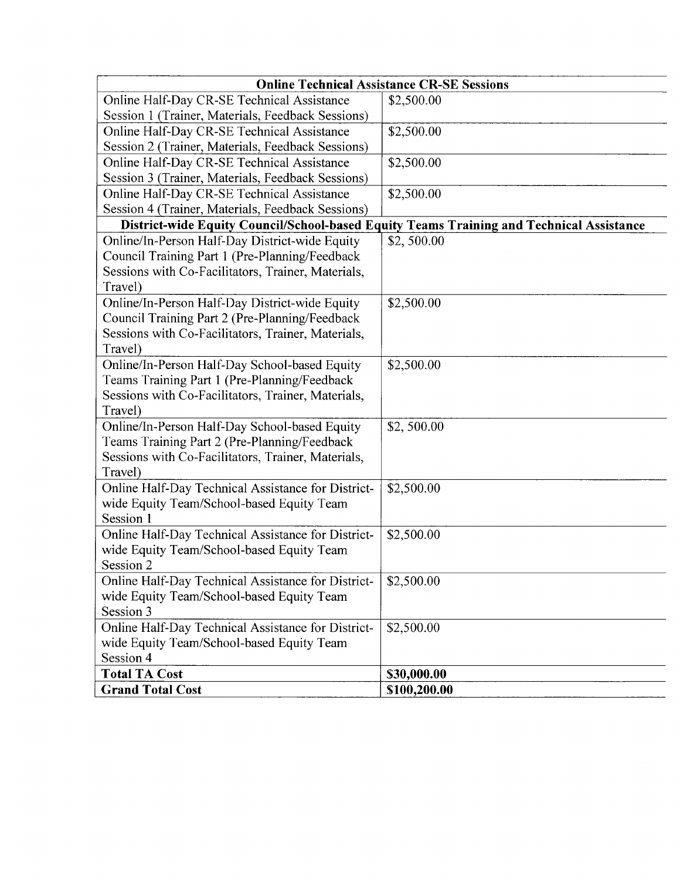| <b>Online Technical Assistance CR-SE Sessions</b>  |                                                                                          |  |
|----------------------------------------------------|------------------------------------------------------------------------------------------|--|
| Online Half-Day CR-SE Technical Assistance         | \$2,500.00                                                                               |  |
| Session 1 (Trainer, Materials, Feedback Sessions)  |                                                                                          |  |
| Online Half-Day CR-SE Technical Assistance         | \$2,500.00                                                                               |  |
| Session 2 (Trainer, Materials, Feedback Sessions)  |                                                                                          |  |
| Online Half-Day CR-SE Technical Assistance         | \$2,500.00                                                                               |  |
| Session 3 (Trainer, Materials, Feedback Sessions)  |                                                                                          |  |
| Online Half-Day CR-SE Technical Assistance         | \$2,500.00                                                                               |  |
| Session 4 (Trainer, Materials, Feedback Sessions)  |                                                                                          |  |
|                                                    | District-wide Equity Council/School-based Equity Teams Training and Technical Assistance |  |
| Online/In-Person Half-Day District-wide Equity     | \$2,500.00                                                                               |  |
| Council Training Part 1 (Pre-Planning/Feedback     |                                                                                          |  |
| Sessions with Co-Facilitators, Trainer, Materials, |                                                                                          |  |
| Travel)                                            |                                                                                          |  |
| Online/In-Person Half-Day District-wide Equity     | \$2,500.00                                                                               |  |
| Council Training Part 2 (Pre-Planning/Feedback     |                                                                                          |  |
| Sessions with Co-Facilitators, Trainer, Materials, |                                                                                          |  |
| Travel)                                            |                                                                                          |  |
| Online/In-Person Half-Day School-based Equity      | \$2,500.00                                                                               |  |
| Teams Training Part 1 (Pre-Planning/Feedback       |                                                                                          |  |
| Sessions with Co-Facilitators, Trainer, Materials, |                                                                                          |  |
| Travel)                                            |                                                                                          |  |
| Online/In-Person Half-Day School-based Equity      | \$2,500.00                                                                               |  |
| Teams Training Part 2 (Pre-Planning/Feedback       |                                                                                          |  |
| Sessions with Co-Facilitators, Trainer, Materials, |                                                                                          |  |
| Travel)                                            |                                                                                          |  |
| Online Half-Day Technical Assistance for District- | \$2,500.00                                                                               |  |
| wide Equity Team/School-based Equity Team          |                                                                                          |  |
| Session 1                                          |                                                                                          |  |
| Online Half-Day Technical Assistance for District- | \$2,500.00                                                                               |  |
| wide Equity Team/School-based Equity Team          |                                                                                          |  |
| Session 2                                          |                                                                                          |  |
| Online Half-Day Technical Assistance for District- | \$2,500.00                                                                               |  |
| wide Equity Team/School-based Equity Team          |                                                                                          |  |
| Session 3                                          |                                                                                          |  |
| Online Half-Day Technical Assistance for District- | \$2,500.00                                                                               |  |
| wide Equity Team/School-based Equity Team          |                                                                                          |  |
| Session 4                                          |                                                                                          |  |
| <b>Total TA Cost</b>                               | \$30,000.00                                                                              |  |
| <b>Grand Total Cost</b>                            | \$100,200.00                                                                             |  |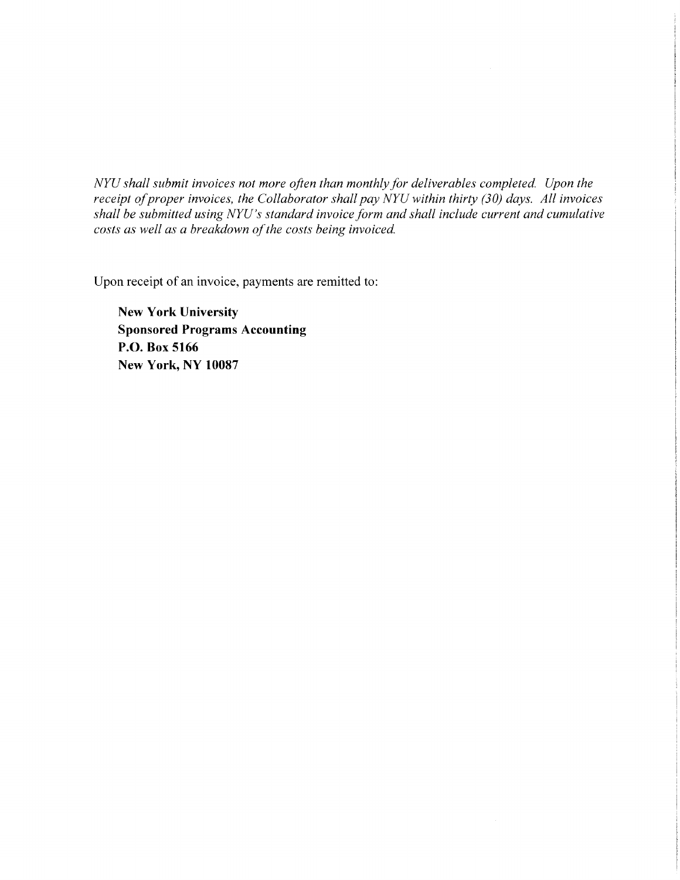*NYU shall submit invoices not more often than monthly for deliverables completed. Upon the receipt of proper invoices, the Collaborator shall pay NYU within thirty (30) days. All invoices shall be submitted using NYU's standard invoice form and shall include current and cumulative costs as well as a breakdown of the costs being invoiced.* 

Upon receipt of an invoice, payments are remitted to:

**New York University Sponsored Programs Accounting P.O. Box 5166 New York, NY 10087**